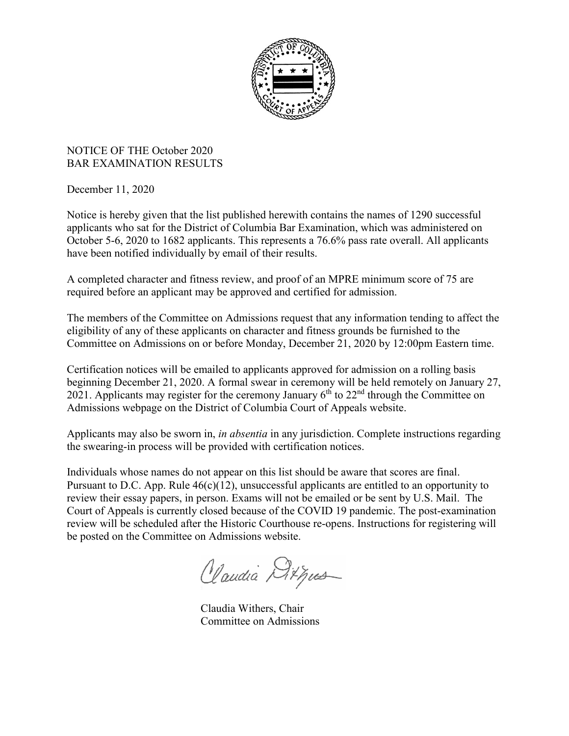

## NOTICE OF THE October 2020 BAR EXAMINATION RESULTS

December 11, 2020

Notice is hereby given that the list published herewith contains the names of 1290 successful applicants who sat for the District of Columbia Bar Examination, which was administered on October 5-6, 2020 to 1682 applicants. This represents a 76.6% pass rate overall. All applicants have been notified individually by email of their results.

A completed character and fitness review, and proof of an MPRE minimum score of 75 are required before an applicant may be approved and certified for admission.

The members of the Committee on Admissions request that any information tending to affect the eligibility of any of these applicants on character and fitness grounds be furnished to the Committee on Admissions on or before Monday, December 21, 2020 by 12:00pm Eastern time.

Certification notices will be emailed to applicants approved for admission on a rolling basis beginning December 21, 2020. A formal swear in ceremony will be held remotely on January 27, 2021. Applicants may register for the ceremony January  $6<sup>th</sup>$  to 22<sup>nd</sup> through the Committee on Admissions webpage on the District of Columbia Court of Appeals website.

Applicants may also be sworn in, *in absentia* in any jurisdiction. Complete instructions regarding the swearing-in process will be provided with certification notices.

Individuals whose names do not appear on this list should be aware that scores are final. Pursuant to D.C. App. Rule 46(c)(12), unsuccessful applicants are entitled to an opportunity to review their essay papers, in person. Exams will not be emailed or be sent by U.S. Mail. The Court of Appeals is currently closed because of the COVID 19 pandemic. The post-examination review will be scheduled after the Historic Courthouse re-opens. Instructions for registering will be posted on the Committee on Admissions website.

Claudia Ditpus

Claudia Withers, Chair Committee on Admissions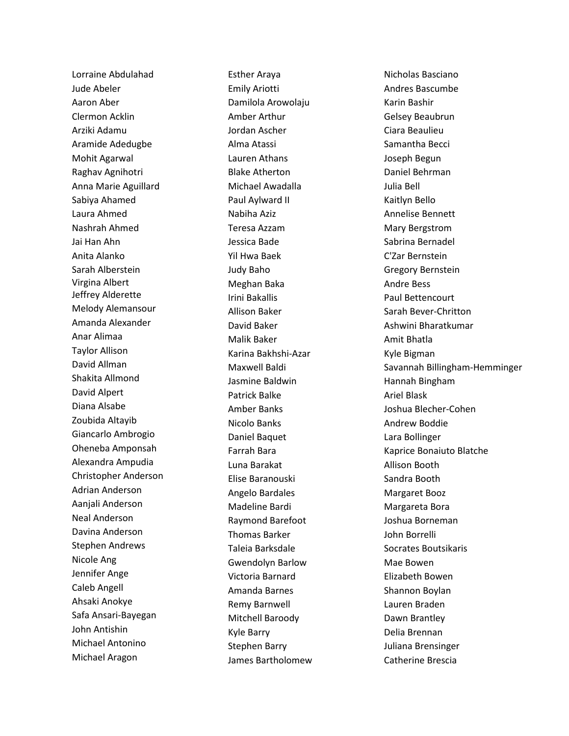Lorraine Abdulahad Jude Abeler Aaron Aber Clermon Acklin Arziki Adamu Aramide Adedugbe Mohit Agarwal Raghav Agnihotri Anna Marie Aguillard Sabiya Ahamed Laura Ahmed Nashrah Ahmed Jai Han Ahn Anita Alanko Sarah Alberstein Virgina Albert Jeffrey Alderette Melody Alemansour Amanda Alexander Anar Alimaa Taylor Allison David Allman Shakita Allmond David Alpert Diana Alsabe Zoubida Altayib Giancarlo Ambrogio Oheneba Amponsah Alexandra Ampudia Christopher Anderson Adrian Anderson Aanjali Anderson Neal Anderson Davina Anderson Stephen Andrews Nicole Ang Jennifer Ange Caleb Angell Ahsaki Anokye Safa Ansari-Bayegan John Antishin Michael Antonino Michael Aragon

Esther Araya Emily Ariotti Damilola Arowolaju Amber Arthur Jordan Ascher Alma Atassi Lauren Athans Blake Atherton Michael Awadalla Paul Aylward II Nabiha Aziz Teresa Azzam Jessica Bade Yil Hwa Baek Judy Baho Meghan Baka Irini Bakallis Allison Baker David Baker Malik Baker Karina Bakhshi-Azar Maxwell Baldi Jasmine Baldwin Patrick Balke Amber Banks Nicolo Banks Daniel Baquet Farrah Bara Luna Barakat Elise Baranouski Angelo Bardales Madeline Bardi Raymond Barefoot Thomas Barker Taleia Barksdale Gwendolyn Barlow Victoria Barnard Amanda Barnes Remy Barnwell Mitchell Baroody Kyle Barry Stephen Barry James Bartholomew

Nicholas Basciano Andres Bascumbe Karin Bashir Gelsey Beaubrun Ciara Beaulieu Samantha Becci Joseph Begun Daniel Behrman Julia Bell Kaitlyn Bello Annelise Bennett Mary Bergstrom Sabrina Bernadel C'Zar Bernstein Gregory Bernstein Andre Bess Paul Bettencourt Sarah Bever-Chritton Ashwini Bharatkumar Amit Bhatla Kyle Bigman Savannah Billingham-Hemminger Hannah Bingham Ariel Blask Joshua Blecher-Cohen Andrew Boddie Lara Bollinger Kaprice Bonaiuto Blatche Allison Booth Sandra Booth Margaret Booz Margareta Bora Joshua Borneman John Borrelli Socrates Boutsikaris Mae Bowen Elizabeth Bowen Shannon Boylan Lauren Braden Dawn Brantley Delia Brennan Juliana Brensinger Catherine Brescia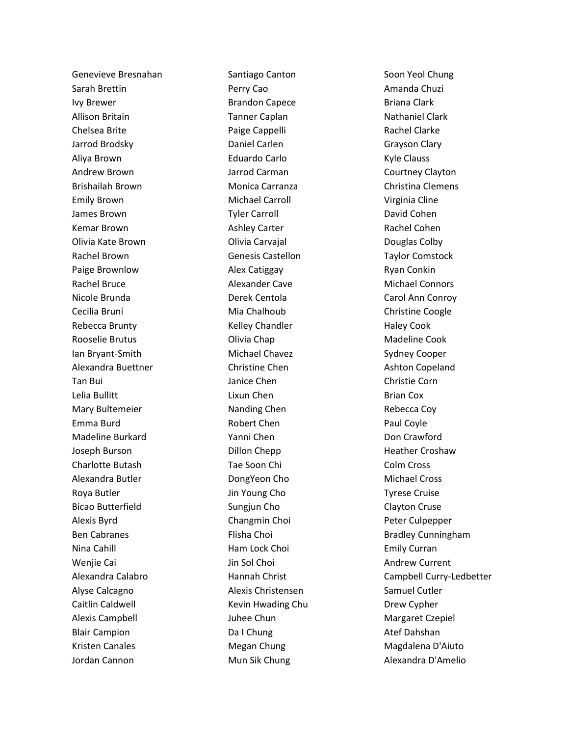Genevieve Bresnahan Sarah Brettin Ivy Brewer Allison Britain Chelsea Brite Jarrod Brodsky Aliya Brown Andrew Brown Brishailah Brown Emily Brown James Brown Kemar Brown Olivia Kate Brown Rachel Brown Paige Brownlow Rachel Bruce Nicole Brunda Cecilia Bruni Rebecca Brunty Rooselie Brutus Ian Bryant-Smith Alexandra Buettner Tan Bui Lelia Bullitt Mary Bultemeier Emma Burd Madeline Burkard Joseph Burson Charlotte Butash Alexandra Butler Roya Butler Bicao Butterfield Alexis Byrd Ben Cabranes Nina Cahill Wenjie Cai Alexandra Calabro Alyse Calcagno Caitlin Caldwell Alexis Campbell Blair Campion Kristen Canales Jordan Cannon

Santiago Canton Perry Cao Brandon Capece Tanner Caplan Paige Cappelli Daniel Carlen Eduardo Carlo Jarrod Carman Monica Carranza Michael Carroll Tyler Carroll Ashley Carter Olivia Carvajal Genesis Castellon Alex Catiggay Alexander Cave Derek Centola Mia Chalhoub Kelley Chandler Olivia Chap Michael Chavez Christine Chen Janice Chen Lixun Chen Nanding Chen Robert Chen Yanni Chen Dillon Chepp Tae Soon Chi DongYeon Cho Jin Young Cho Sungjun Cho Changmin Choi Flisha Choi Ham Lock Choi Jin Sol Choi Hannah Christ Alexis Christensen Kevin Hwading Chu Juhee Chun Da I Chung Megan Chung Mun Sik Chung

Soon Yeol Chung Amanda Chuzi Briana Clark Nathaniel Clark Rachel Clarke Grayson Clary Kyle Clauss Courtney Clayton Christina Clemens Virginia Cline David Cohen Rachel Cohen Douglas Colby Taylor Comstock Ryan Conkin Michael Connors Carol Ann Conroy Christine Coogle Haley Cook Madeline Cook Sydney Cooper Ashton Copeland Christie Corn Brian Cox Rebecca Coy Paul Coyle Don Crawford Heather Croshaw Colm Cross Michael Cross Tyrese Cruise Clayton Cruse Peter Culpepper Bradley Cunningham Emily Curran Andrew Current Campbell Curry-Ledbetter Samuel Cutler Drew Cypher Margaret Czepiel Atef Dahshan Magdalena D'Aiuto Alexandra D'Amelio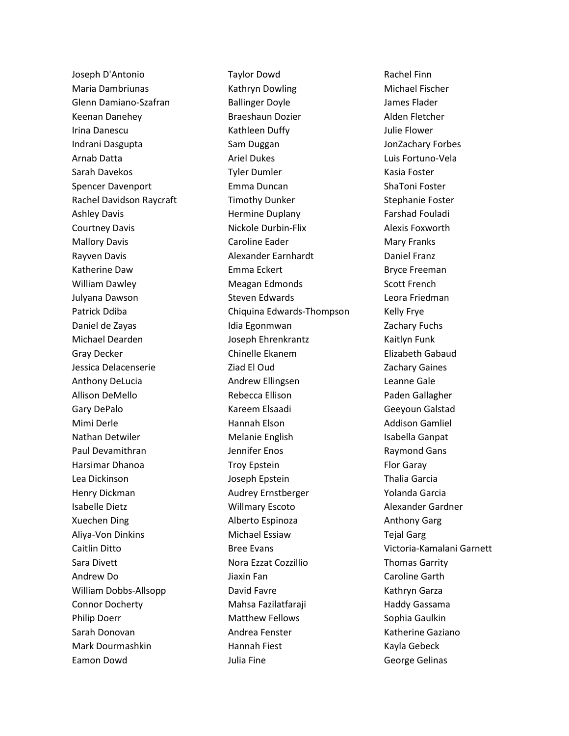Joseph D'Antonio Maria Dambriunas Glenn Damiano-Szafran Keenan Danehey Irina Danescu Indrani Dasgupta Arnab Datta Sarah Davekos Spencer Davenport Rachel Davidson Raycraft Ashley Davis Courtney Davis Mallory Davis Rayven Davis Katherine Daw William Dawley Julyana Dawson Patrick Ddiba Daniel de Zayas Michael Dearden Gray Decker Jessica Delacenserie Anthony DeLucia Allison DeMello Gary DePalo Mimi Derle Nathan Detwiler Paul Devamithran Harsimar Dhanoa Lea Dickinson Henry Dickman Isabelle Dietz Xuechen Ding Aliya-Von Dinkins Caitlin Ditto Sara Divett Andrew Do William Dobbs-Allsopp Connor Docherty Philip Doerr Sarah Donovan Mark Dourmashkin Eamon Dowd

Taylor Dowd Kathryn Dowling Ballinger Doyle Braeshaun Dozier Kathleen Duffy Sam Duggan Ariel Dukes Tyler Dumler Emma Duncan Timothy Dunker Hermine Duplany Nickole Durbin-Flix Caroline Eader Alexander Earnhardt Emma Eckert Meagan Edmonds Steven Edwards Chiquina Edwards-Thompson Idia Egonmwan Joseph Ehrenkrantz Chinelle Ekanem Ziad El Oud Andrew Ellingsen Rebecca Ellison Kareem Elsaadi Hannah Elson Melanie English Jennifer Enos Troy Epstein Joseph Epstein Audrey Ernstberger Willmary Escoto Alberto Espinoza Michael Essiaw Bree Evans Nora Ezzat Cozzillio Jiaxin Fan David Favre Mahsa Fazilatfaraji Matthew Fellows Andrea Fenster Hannah Fiest Julia Fine

Rachel Finn Michael Fischer James Flader Alden Fletcher Julie Flower JonZachary Forbes Luis Fortuno-Vela Kasia Foster ShaToni Foster Stephanie Foster Farshad Fouladi Alexis Foxworth Mary Franks Daniel Franz Bryce Freeman Scott French Leora Friedman Kelly Frye Zachary Fuchs Kaitlyn Funk Elizabeth Gabaud Zachary Gaines Leanne Gale Paden Gallagher Geeyoun Galstad Addison Gamliel Isabella Ganpat Raymond Gans Flor Garay Thalia Garcia Yolanda Garcia Alexander Gardner Anthony Garg Tejal Garg Victoria-Kamalani Garnett Thomas Garrity Caroline Garth Kathryn Garza Haddy Gassama Sophia Gaulkin Katherine Gaziano Kayla Gebeck George Gelinas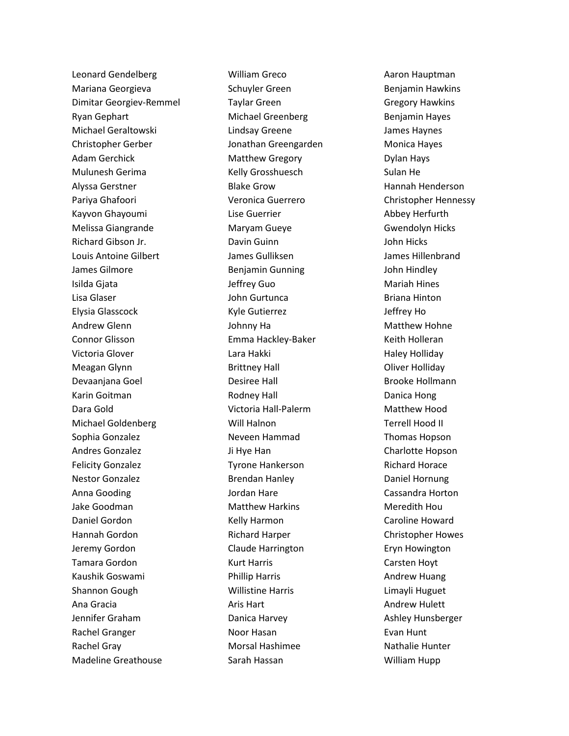Leonard Gendelberg Mariana Georgieva Dimitar Georgiev-Remmel Ryan Gephart Michael Geraltowski Christopher Gerber Adam Gerchick Mulunesh Gerima Alyssa Gerstner Pariya Ghafoori Kayvon Ghayoumi Melissa Giangrande Richard Gibson Jr. Louis Antoine Gilbert James Gilmore Isilda Gjata Lisa Glaser Elysia Glasscock Andrew Glenn Connor Glisson Victoria Glover Meagan Glynn Devaanjana Goel Karin Goitman Dara Gold Michael Goldenberg Sophia Gonzalez Andres Gonzalez Felicity Gonzalez Nestor Gonzalez Anna Gooding Jake Goodman Daniel Gordon Hannah Gordon Jeremy Gordon Tamara Gordon Kaushik Goswami Shannon Gough Ana Gracia Jennifer Graham Rachel Granger Rachel Gray Madeline Greathouse

William Greco Schuyler Green Taylar Green Michael Greenberg Lindsay Greene Jonathan Greengarden Matthew Gregory Kelly Grosshuesch Blake Grow Veronica Guerrero Lise Guerrier Maryam Gueye Davin Guinn James Gulliksen Benjamin Gunning Jeffrey Guo John Gurtunca Kyle Gutierrez Johnny Ha Emma Hackley-Baker Lara Hakki Brittney Hall Desiree Hall Rodney Hall Victoria Hall-Palerm Will Halnon Neveen Hammad Ji Hye Han Tyrone Hankerson Brendan Hanley Jordan Hare Matthew Harkins Kelly Harmon Richard Harper Claude Harrington Kurt Harris Phillip Harris Willistine Harris Aris Hart Danica Harvey Noor Hasan Morsal Hashimee Sarah Hassan

Aaron Hauptman Benjamin Hawkins Gregory Hawkins Benjamin Hayes James Haynes Monica Hayes Dylan Hays Sulan He Hannah Henderson Christopher Hennessy Abbey Herfurth Gwendolyn Hicks John Hicks James Hillenbrand John Hindley Mariah Hines Briana Hinton Jeffrey Ho Matthew Hohne Keith Holleran Haley Holliday Oliver Holliday Brooke Hollmann Danica Hong Matthew Hood Terrell Hood II Thomas Hopson Charlotte Hopson Richard Horace Daniel Hornung Cassandra Horton Meredith Hou Caroline Howard Christopher Howes Eryn Howington Carsten Hoyt Andrew Huang Limayli Huguet Andrew Hulett Ashley Hunsberger Evan Hunt Nathalie Hunter William Hupp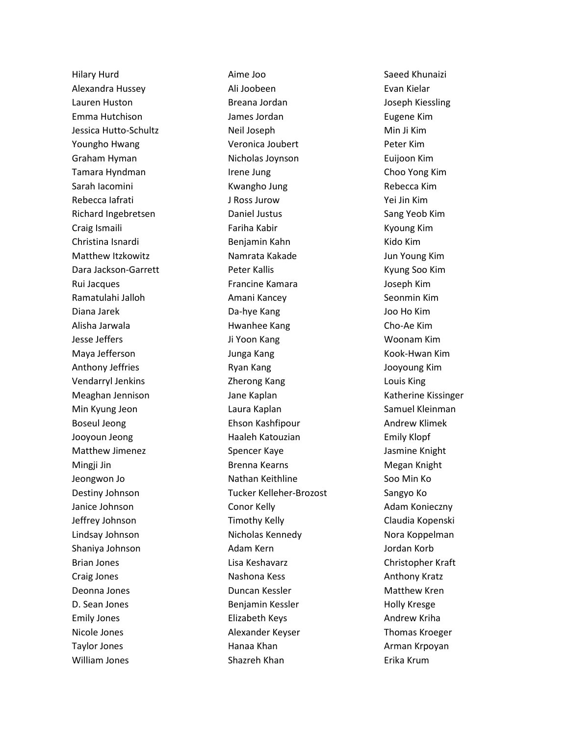Hilary Hurd Alexandra Hussey Lauren Huston Emma Hutchison Jessica Hutto-Schultz Youngho Hwang Graham Hyman Tamara Hyndman Sarah Iacomini Rebecca Iafrati Richard Ingebretsen Craig Ismaili Christina Isnardi Matthew Itzkowitz Dara Jackson-Garrett Rui Jacques Ramatulahi Jalloh Diana Jarek Alisha Jarwala Jesse Jeffers Maya Jefferson Anthony Jeffries Vendarryl Jenkins Meaghan Jennison Min Kyung Jeon Boseul Jeong Jooyoun Jeong Matthew Jimenez Mingji Jin Jeongwon Jo Destiny Johnson Janice Johnson Jeffrey Johnson Lindsay Johnson Shaniya Johnson Brian Jones Craig Jones Deonna Jones D. Sean Jones Emily Jones Nicole Jones Taylor Jones William Jones

Aime Joo Ali Joobeen Breana Jordan James Jordan Neil Joseph Veronica Joubert Nicholas Joynson Irene Jung Kwangho Jung J Ross Jurow Daniel Justus Fariha Kabir Benjamin Kahn Namrata Kakade Peter Kallis Francine Kamara Amani Kancey Da-hye Kang Hwanhee Kang Ji Yoon Kang Junga Kang Ryan Kang Zherong Kang Jane Kaplan Laura Kaplan Ehson Kashfipour Haaleh Katouzian Spencer Kaye Brenna Kearns Nathan Keithline Tucker Kelleher-Brozost Conor Kelly Timothy Kelly Nicholas Kennedy Adam Kern Lisa Keshavarz Nashona Kess Duncan Kessler Benjamin Kessler Elizabeth Keys Alexander Keyser Hanaa Khan Shazreh Khan

Saeed Khunaizi Evan Kielar Joseph Kiessling Eugene Kim Min Ji Kim Peter Kim Euijoon Kim Choo Yong Kim Rebecca Kim Yei Jin Kim Sang Yeob Kim Kyoung Kim Kido Kim Jun Young Kim Kyung Soo Kim Joseph Kim Seonmin Kim Joo Ho Kim Cho-Ae Kim Woonam Kim Kook-Hwan Kim Jooyoung Kim Louis King Katherine Kissinger Samuel Kleinman Andrew Klimek Emily Klopf Jasmine Knight Megan Knight Soo Min Ko Sangyo Ko Adam Konieczny Claudia Kopenski Nora Koppelman Jordan Korb Christopher Kraft Anthony Kratz Matthew Kren Holly Kresge Andrew Kriha Thomas Kroeger Arman Krpoyan Erika Krum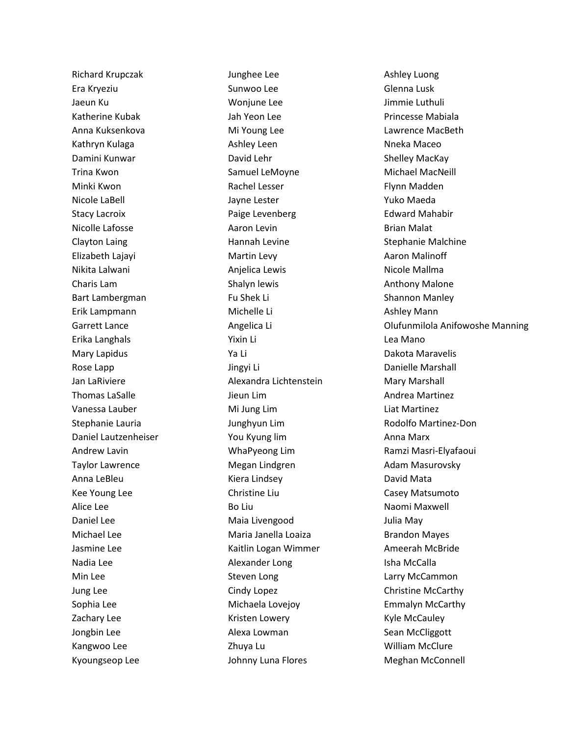Richard Krupczak Era Kryeziu Jaeun Ku Katherine Kubak Anna Kuksenkova Kathryn Kulaga Damini Kunwar Trina Kwon Minki Kwon Nicole LaBell Stacy Lacroix Nicolle Lafosse Clayton Laing Elizabeth Lajayi Nikita Lalwani Charis Lam Bart Lambergman Erik Lampmann Garrett Lance Erika Langhals Mary Lapidus Rose Lapp Jan LaRiviere Thomas LaSalle Vanessa Lauber Stephanie Lauria Daniel Lautzenheiser Andrew Lavin Taylor Lawrence Anna LeBleu Kee Young Lee Alice Lee Daniel Lee Michael Lee Jasmine Lee Nadia Lee Min Lee Jung Lee Sophia Lee Zachary Lee Jongbin Lee Kangwoo Lee Kyoungseop Lee

Junghee Lee Sunwoo Lee Wonjune Lee Jah Yeon Lee Mi Young Lee Ashley Leen David Lehr Samuel LeMoyne Rachel Lesser Jayne Lester Paige Levenberg Aaron Levin Hannah Levine Martin Levy Anjelica Lewis Shalyn lewis Fu Shek Li Michelle Li Angelica Li Yixin Li Ya Li Jingyi Li Alexandra Lichtenstein Jieun Lim Mi Jung Lim Junghyun Lim You Kyung lim WhaPyeong Lim Megan Lindgren Kiera Lindsey Christine Liu Bo Liu Maia Livengood Maria Janella Loaiza Kaitlin Logan Wimmer Alexander Long Steven Long Cindy Lopez Michaela Lovejoy Kristen Lowery Alexa Lowman Zhuya Lu Johnny Luna Flores

Ashley Luong Glenna Lusk Jimmie Luthuli Princesse Mabiala Lawrence MacBeth Nneka Maceo Shelley MacKay Michael MacNeill Flynn Madden Yuko Maeda Edward Mahabir Brian Malat Stephanie Malchine Aaron Malinoff Nicole Mallma Anthony Malone Shannon Manley Ashley Mann Olufunmilola Anifowoshe Manning Lea Mano Dakota Maravelis Danielle Marshall Mary Marshall Andrea Martinez Liat Martinez Rodolfo Martinez-Don Anna Marx Ramzi Masri-Elyafaoui Adam Masurovsky David Mata Casey Matsumoto Naomi Maxwell Julia May Brandon Mayes Ameerah McBride Isha McCalla Larry McCammon Christine McCarthy Emmalyn McCarthy Kyle McCauley Sean McCliggott William McClure Meghan McConnell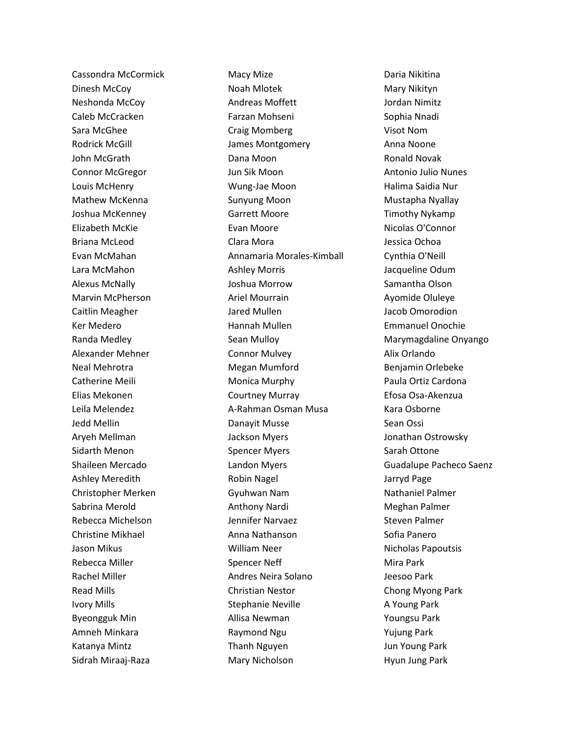Cassondra McCormick Dinesh McCoy Neshonda McCoy Caleb McCracken Sara McGhee Rodrick McGill John McGrath Connor McGregor Louis McHenry Mathew McKenna Joshua McKenney Elizabeth McKie Briana McLeod Evan McMahan Lara McMahon Alexus McNally Marvin McPherson Caitlin Meagher Ker Medero Randa Medley Alexander Mehner Neal Mehrotra Catherine Meili Elias Mekonen Leila Melendez Jedd Mellin Aryeh Mellman Sidarth Menon Shaileen Mercado Ashley Meredith Christopher Merken Sabrina Merold Rebecca Michelson Christine Mikhael Jason Mikus Rebecca Miller Rachel Miller Read Mills Ivory Mills Byeongguk Min Amneh Minkara Katanya Mintz Sidrah Miraaj-Raza

Macy Mize Noah Mlotek Andreas Moffett Farzan Mohseni Craig Momberg James Montgomery Dana Moon Jun Sik Moon Wung-Jae Moon Sunyung Moon Garrett Moore Evan Moore Clara Mora Annamaria Morales-Kimball Ashley Morris Joshua Morrow Ariel Mourrain Jared Mullen Hannah Mullen Sean Mulloy Connor Mulvey Megan Mumford Monica Murphy Courtney Murray A-Rahman Osman Musa Danayit Musse Jackson Myers Spencer Myers Landon Myers Robin Nagel Gyuhwan Nam Anthony Nardi Jennifer Narvaez Anna Nathanson William Neer Spencer Neff Andres Neira Solano Christian Nestor Stephanie Neville Allisa Newman Raymond Ngu Thanh Nguyen Mary Nicholson

Daria Nikitina Mary Nikityn Jordan Nimitz Sophia Nnadi Visot Nom Anna Noone Ronald Novak Antonio Julio Nunes Halima Saidia Nur Mustapha Nyallay Timothy Nykamp Nicolas O'Connor Jessica Ochoa Cynthia O'Neill Jacqueline Odum Samantha Olson Ayomide Oluleye Jacob Omorodion Emmanuel Onochie Marymagdaline Onyango Alix Orlando Benjamin Orlebeke Paula Ortiz Cardona Efosa Osa-Akenzua Kara Osborne Sean Ossi Jonathan Ostrowsky Sarah Ottone Guadalupe Pacheco Saenz Jarryd Page Nathaniel Palmer Meghan Palmer Steven Palmer Sofia Panero Nicholas Papoutsis Mira Park Jeesoo Park Chong Myong Park A Young Park Youngsu Park Yujung Park Jun Young Park Hyun Jung Park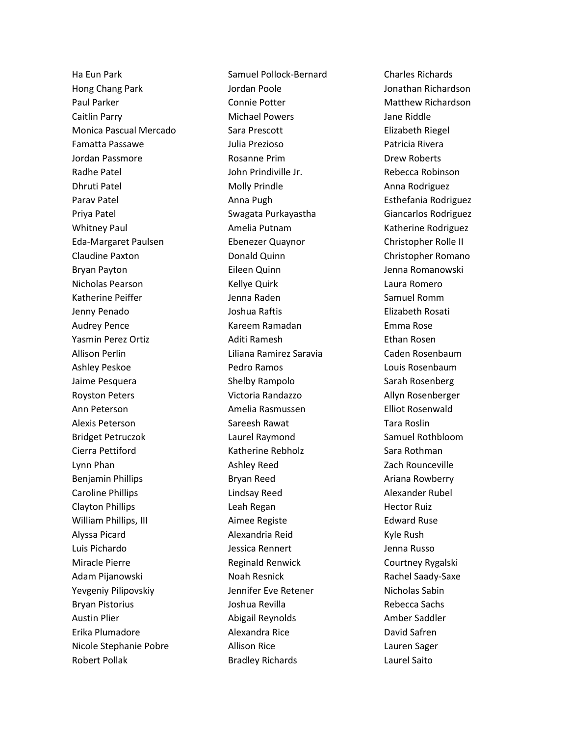Ha Eun Park Hong Chang Park Paul Parker Caitlin Parry Monica Pascual Mercado Famatta Passawe Jordan Passmore Radhe Patel Dhruti Patel Parav Patel Priya Patel Whitney Paul Eda-Margaret Paulsen Claudine Paxton Bryan Payton Nicholas Pearson Katherine Peiffer Jenny Penado Audrey Pence Yasmin Perez Ortiz Allison Perlin Ashley Peskoe Jaime Pesquera Royston Peters Ann Peterson Alexis Peterson Bridget Petruczok Cierra Pettiford Lynn Phan Benjamin Phillips Caroline Phillips Clayton Phillips William Phillips, III Alyssa Picard Luis Pichardo Miracle Pierre Adam Pijanowski Yevgeniy Pilipovskiy Bryan Pistorius Austin Plier Erika Plumadore Nicole Stephanie Pobre Robert Pollak

Samuel Pollock-Bernard Jordan Poole Connie Potter Michael Powers Sara Prescott Julia Prezioso Rosanne Prim John Prindiville Jr. Molly Prindle Anna Pugh Swagata Purkayastha Amelia Putnam Ebenezer Quaynor Donald Quinn Eileen Quinn Kellye Quirk Jenna Raden Joshua Raftis Kareem Ramadan Aditi Ramesh Liliana Ramirez Saravia Pedro Ramos Shelby Rampolo Victoria Randazzo Amelia Rasmussen Sareesh Rawat Laurel Raymond Katherine Rebholz Ashley Reed Bryan Reed Lindsay Reed Leah Regan Aimee Registe Alexandria Reid Jessica Rennert Reginald Renwick Noah Resnick Jennifer Eve Retener Joshua Revilla Abigail Reynolds Alexandra Rice Allison Rice Bradley Richards

Charles Richards Jonathan Richardson Matthew Richardson Jane Riddle Elizabeth Riegel Patricia Rivera Drew Roberts Rebecca Robinson Anna Rodriguez Esthefania Rodriguez Giancarlos Rodriguez Katherine Rodriguez Christopher Rolle II Christopher Romano Jenna Romanowski Laura Romero Samuel Romm Elizabeth Rosati Emma Rose Ethan Rosen Caden Rosenbaum Louis Rosenbaum Sarah Rosenberg Allyn Rosenberger Elliot Rosenwald Tara Roslin Samuel Rothbloom Sara Rothman Zach Rounceville Ariana Rowberry Alexander Rubel Hector Ruiz Edward Ruse Kyle Rush Jenna Russo Courtney Rygalski Rachel Saady-Saxe Nicholas Sabin Rebecca Sachs Amber Saddler David Safren Lauren Sager Laurel Saito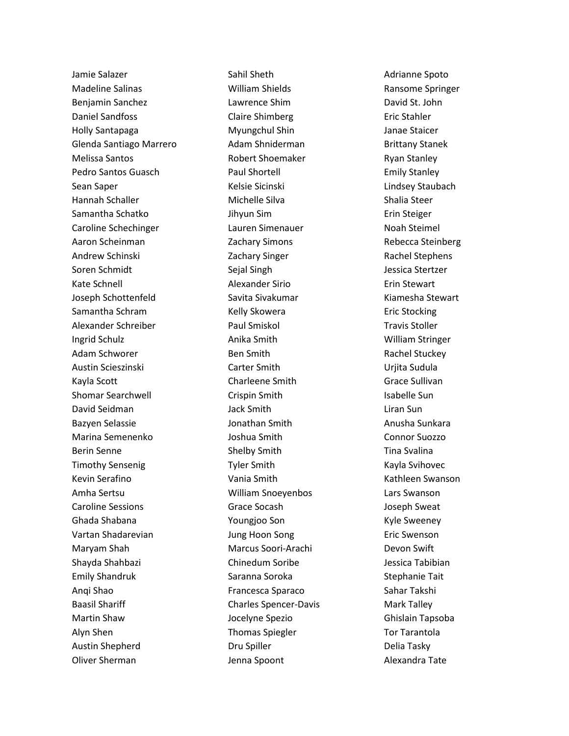Jamie Salazer Madeline Salinas Benjamin Sanchez Daniel Sandfoss Holly Santapaga Glenda Santiago Marrero Melissa Santos Pedro Santos Guasch Sean Saper Hannah Schaller Samantha Schatko Caroline Schechinger Aaron Scheinman Andrew Schinski Soren Schmidt Kate Schnell Joseph Schottenfeld Samantha Schram Alexander Schreiber Ingrid Schulz Adam Schworer Austin Scieszinski Kayla Scott Shomar Searchwell David Seidman Bazyen Selassie Marina Semenenko Berin Senne Timothy Sensenig Kevin Serafino Amha Sertsu Caroline Sessions Ghada Shabana Vartan Shadarevian Maryam Shah Shayda Shahbazi Emily Shandruk Anqi Shao Baasil Shariff Martin Shaw Alyn Shen Austin Shepherd Oliver Sherman

Sahil Sheth William Shields Lawrence Shim Claire Shimberg Myungchul Shin Adam Shniderman Robert Shoemaker Paul Shortell Kelsie Sicinski Michelle Silva Jihyun Sim Lauren Simenauer Zachary Simons Zachary Singer Sejal Singh Alexander Sirio Savita Sivakumar Kelly Skowera Paul Smiskol Anika Smith Ben Smith Carter Smith Charleene Smith Crispin Smith Jack Smith Jonathan Smith Joshua Smith Shelby Smith Tyler Smith Vania Smith William Snoeyenbos Grace Socash Youngjoo Son Jung Hoon Song Marcus Soori-Arachi Chinedum Soribe Saranna Soroka Francesca Sparaco Charles Spencer-Davis Jocelyne Spezio Thomas Spiegler Dru Spiller Jenna Spoont

Adrianne Spoto Ransome Springer David St. John Eric Stahler Janae Staicer Brittany Stanek Ryan Stanley Emily Stanley Lindsey Staubach Shalia Steer Erin Steiger Noah Steimel Rebecca Steinberg Rachel Stephens Jessica Stertzer Erin Stewart Kiamesha Stewart Eric Stocking Travis Stoller William Stringer Rachel Stuckey Urjita Sudula Grace Sullivan Isabelle Sun Liran Sun Anusha Sunkara Connor Suozzo Tina Svalina Kayla Svihovec Kathleen Swanson Lars Swanson Joseph Sweat Kyle Sweeney Eric Swenson Devon Swift Jessica Tabibian Stephanie Tait Sahar Takshi Mark Talley Ghislain Tapsoba Tor Tarantola Delia Tasky Alexandra Tate